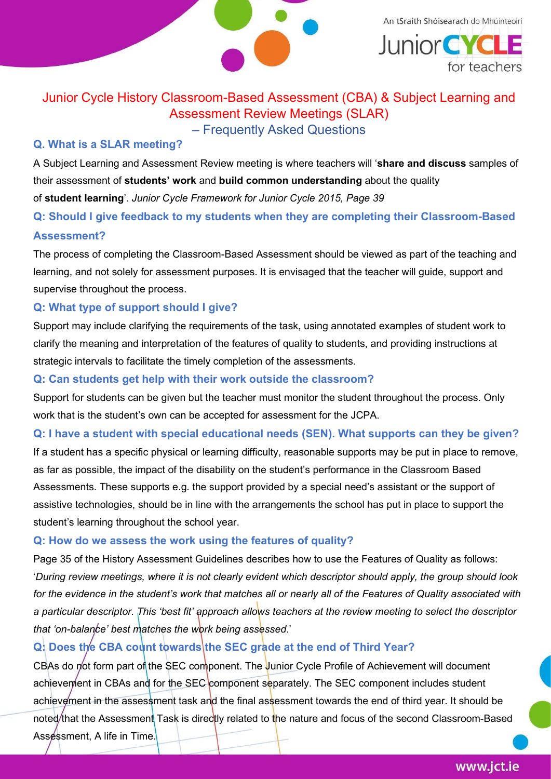

An tSraith Shóisearach do Mhúinteoirí **Junior CYCL** for teachers

# Junior Cycle History Classroom-Based Assessment (CBA) & Subject Learning and Assessment Review Meetings (SLAR)

## – Frequently Asked Questions

## Q. What is a SLAR meeting?

A Subject Learning and Assessment Review meeting is where teachers will 'share and discuss samples of their assessment of students' work and build common understanding about the quality of student learning'. Junior Cycle Framework for Junior Cycle 2015, Page 39

Q: Should I give feedback to my students when they are completing their Classroom-Based Assessment?

The process of completing the Classroom-Based Assessment should be viewed as part of the teaching and learning, and not solely for assessment purposes. It is envisaged that the teacher will guide, support and supervise throughout the process.

### Q: What type of support should I give?

Support may include clarifying the requirements of the task, using annotated examples of student work to clarify the meaning and interpretation of the features of quality to students, and providing instructions at strategic intervals to facilitate the timely completion of the assessments.

#### Q: Can students get help with their work outside the classroom?

Support for students can be given but the teacher must monitor the student throughout the process. Only work that is the student's own can be accepted for assessment for the JCPA.

# Q: I have a student with special educational needs (SEN). What supports can they be given?

If a student has a specific physical or learning difficulty, reasonable supports may be put in place to remove, as far as possible, the impact of the disability on the student's performance in the Classroom Based Assessments. These supports e.g. the support provided by a special need's assistant or the support of assistive technologies, should be in line with the arrangements the school has put in place to support the student's learning throughout the school year.

#### Q: How do we assess the work using the features of quality?

Page 35 of the History Assessment Guidelines describes how to use the Features of Quality as follows: 'During review meetings, where it is not clearly evident which descriptor should apply, the group should look for the evidence in the student's work that matches all or nearly all of the Features of Quality associated with a particular descriptor. This 'best fit' approach allows teachers at the review meeting to select the descriptor that 'on-balance' best matches the work being assessed.'

# Q: Does the CBA count towards the SEC grade at the end of Third Year?

CBAs do not form part of the SEC component. The Junior Cycle Profile of Achievement will document achievement in CBAs and for the SEC component separately. The SEC component includes student achievement in the assessment task and the final assessment towards the end of third year. It should be noted that the Assessment Task is directly related to the nature and focus of the second Classroom-Based Assessment, A life in Time.

www.jct.ie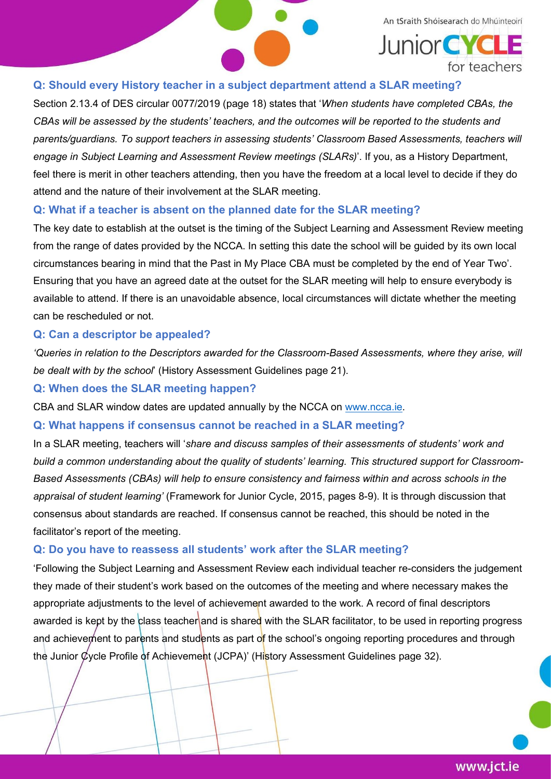

#### Q: Should every History teacher in a subject department attend a SLAR meeting?

Section 2.13.4 of DES circular 0077/2019 (page 18) states that 'When students have completed CBAs, the CBAs will be assessed by the students' teachers, and the outcomes will be reported to the students and parents/guardians. To support teachers in assessing students' Classroom Based Assessments, teachers will engage in Subject Learning and Assessment Review meetings (SLARs)'. If you, as a History Department, feel there is merit in other teachers attending, then you have the freedom at a local level to decide if they do attend and the nature of their involvement at the SLAR meeting.

#### Q: What if a teacher is absent on the planned date for the SLAR meeting?

The key date to establish at the outset is the timing of the Subject Learning and Assessment Review meeting from the range of dates provided by the NCCA. In setting this date the school will be guided by its own local circumstances bearing in mind that the Past in My Place CBA must be completed by the end of Year Two'. Ensuring that you have an agreed date at the outset for the SLAR meeting will help to ensure everybody is available to attend. If there is an unavoidable absence, local circumstances will dictate whether the meeting can be rescheduled or not.

#### Q: Can a descriptor be appealed?

'Queries in relation to the Descriptors awarded for the Classroom-Based Assessments, where they arise, will be dealt with by the school' (History Assessment Guidelines page 21).

#### Q: When does the SLAR meeting happen?

CBA and SLAR window dates are updated annually by the NCCA on www.ncca.ie.

#### Q: What happens if consensus cannot be reached in a SLAR meeting?

In a SLAR meeting, teachers will 'share and discuss samples of their assessments of students' work and build a common understanding about the quality of students' learning. This structured support for Classroom-Based Assessments (CBAs) will help to ensure consistency and fairness within and across schools in the appraisal of student learning' (Framework for Junior Cycle, 2015, pages 8-9). It is through discussion that consensus about standards are reached. If consensus cannot be reached, this should be noted in the facilitator's report of the meeting.

#### Q: Do you have to reassess all students' work after the SLAR meeting?

'Following the Subject Learning and Assessment Review each individual teacher re-considers the judgement they made of their student's work based on the outcomes of the meeting and where necessary makes the appropriate adjustments to the level of achievement awarded to the work. A record of final descriptors awarded is kept by the class teacher and is shared with the SLAR facilitator, to be used in reporting progress and achievement to parents and students as part of the school's ongoing reporting procedures and through the Junior Cycle Profile of Achievement (JCPA)' (History Assessment Guidelines page 32).